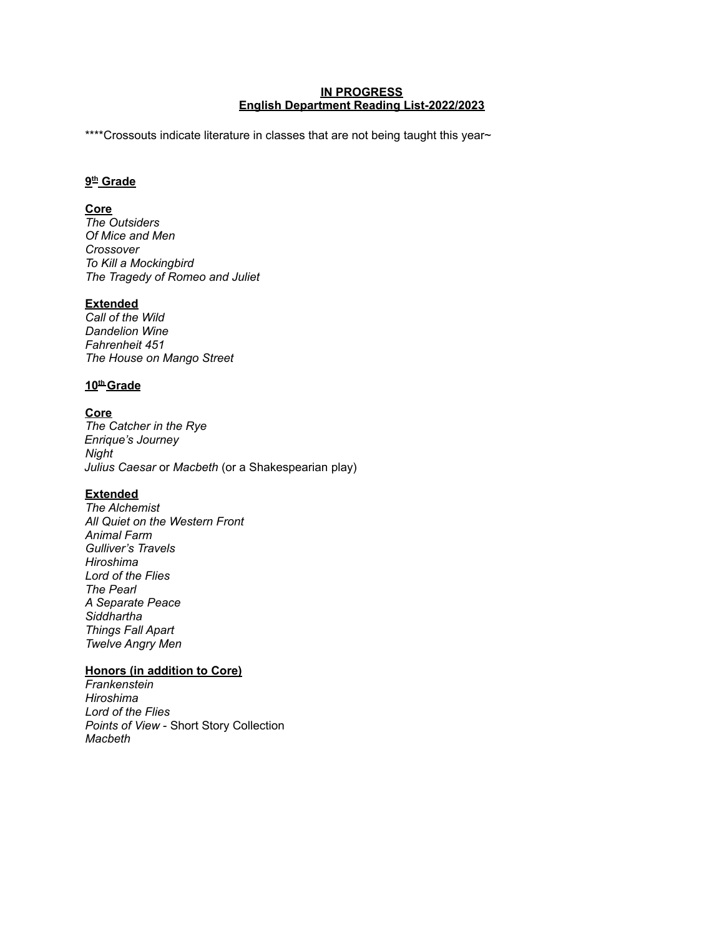#### **IN PROGRESS English Department Reading List-2022/2023**

\*\*\*\*Crossouts indicate literature in classes that are not being taught this year~

### **9 th Grade**

## **Core**

*The Outsiders Of Mice and Men Crossover To Kill a Mockingbird The Tragedy of Romeo and Juliet*

### **Extended**

*Call of the Wild Dandelion Wine Fahrenheit 451 The House on Mango Street*

### **10 th Grade**

**Core** *The Catcher in the Rye Enrique's Journey Night Julius Caesar* or *Macbeth* (or a Shakespearian play)

## **Extended**

*The Alchemist All Quiet on the Western Front Animal Farm Gulliver's Travels Hiroshima Lord of the Flies The Pearl A Separate Peace Siddhartha Things Fall Apart Twelve Angry Men*

## **Honors (in addition to Core)**

*Frankenstein Hiroshima Lord of the Flies Points of View* - Short Story Collection *Macbeth*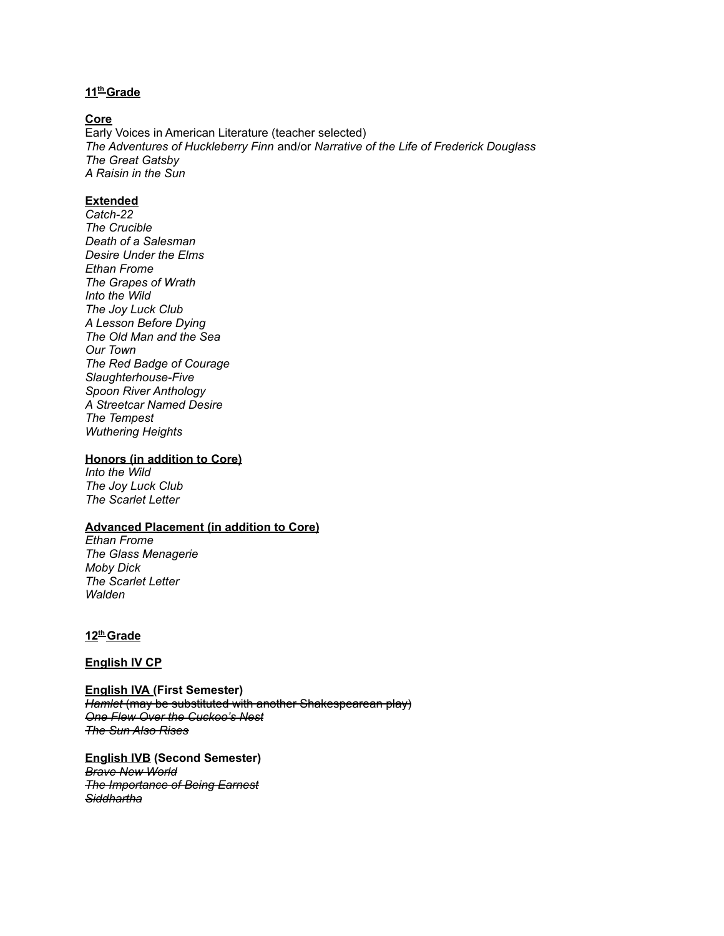### **11 th Grade**

#### **Core**

Early Voices in American Literature (teacher selected) *The Adventures of Huckleberry Finn* and/or *Narrative of the Life of Frederick Douglass The Great Gatsby A Raisin in the Sun*

### **Extended**

*Catch-22 The Crucible Death of a Salesman Desire Under the Elms Ethan Frome The Grapes of Wrath Into the Wild The Joy Luck Club A Lesson Before Dying The Old Man and the Sea Our Town The Red Badge of Courage Slaughterhouse-Five Spoon River Anthology A Streetcar Named Desire The Tempest Wuthering Heights*

#### **Honors (in addition to Core)**

*Into the Wild The Joy Luck Club The Scarlet Letter*

### **Advanced Placement (in addition to Core)**

*Ethan Frome The Glass Menagerie Moby Dick The Scarlet Letter Walden*

### **12 th Grade**

**English IV CP**

**English IVA (First Semester)** *Hamlet* (may be substituted with another Shakespearean play) *One Flew Over the Cuckoo's Nest The Sun Also Rises*

**English IVB (Second Semester)** *Brave New World The Importance of Being Earnest Siddhartha*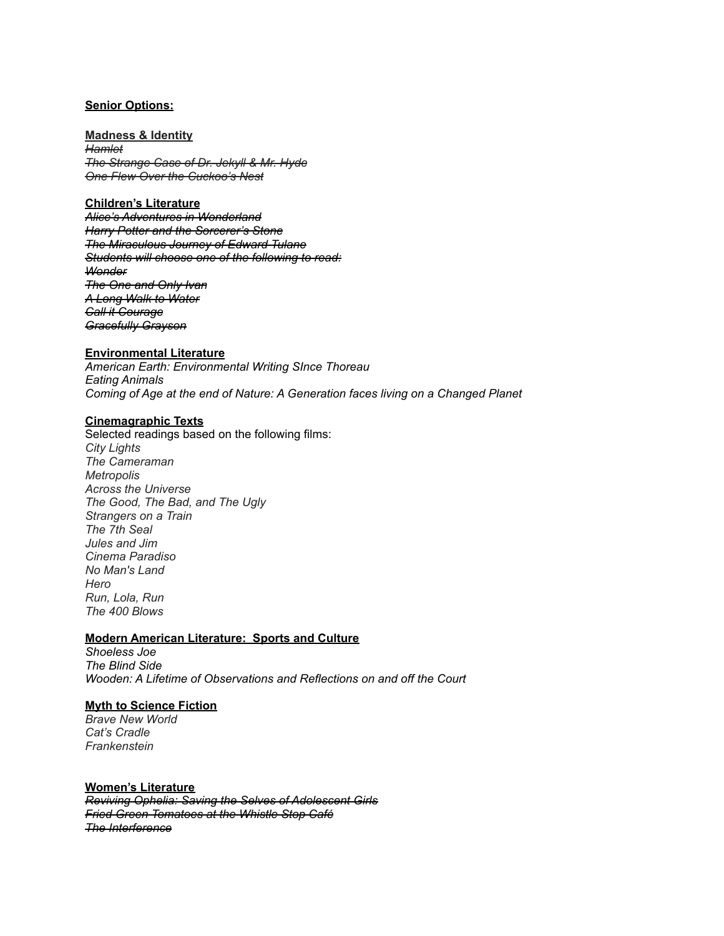#### **Senior Options:**

**Madness & Identity** *Hamlet The Strange Case of Dr. Jekyll & Mr. Hyde One Flew Over the Cuckoo's Nest*

### **Children's Literature**

*Alice's Adventures in Wonderland Harry Potter and the Sorcerer's Stone The Miraculous Journey of Edward Tulane Students will choose one of the following to read: Wonder The One and Only Ivan A Long Walk to Water Call it Courage Gracefully Grayson*

#### **Environmental Literature**

*American Earth: Environmental Writing SInce Thoreau Eating Animals Coming of Age at the end of Nature: A Generation faces living on a Changed Planet*

#### **Cinemagraphic Texts**

Selected readings based on the following films: *City Lights The Cameraman Metropolis Across the Universe The Good, The Bad, and The Ugly Strangers on a Train The 7th Seal Jules and Jim Cinema Paradiso No Man's Land Hero Run, Lola, Run The 400 Blows*

### **Modern American Literature: Sports and Culture**

*Shoeless Joe The Blind Side Wooden: A Lifetime of Observations and Reflections on and off the Court*

### **Myth to Science Fiction**

*Brave New World Cat's Cradle Frankenstein*

### **Women's Literature**

*Reviving Ophelia: Saving the Selves of Adolescent Girls Fried Green Tomatoes at the Whistle Stop Café The Interference*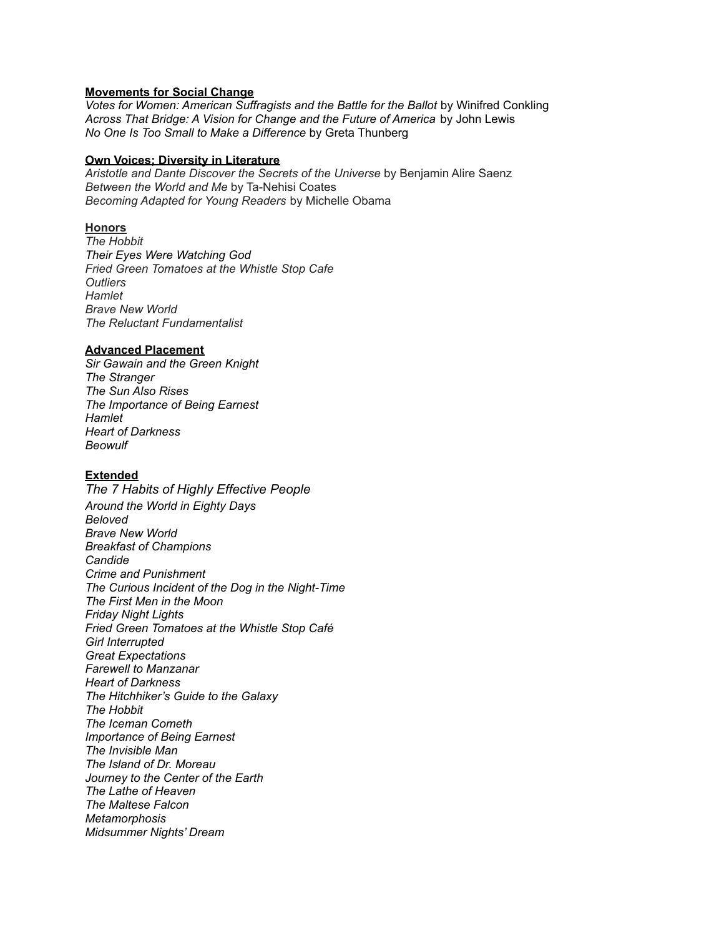### **Movements for Social Change**

*Votes for Women: American Suffragists and the Battle for the Ballot* by Winifred Conkling *Across That Bridge: A Vision for Change and the Future of America* by John Lewis *No One Is Too Small to Make a Difference* by Greta Thunberg

#### **Own Voices; Diversity in Literature**

*Aristotle and Dante Discover the Secrets of the Universe* by Benjamin Alire Saenz *Between the World and Me* by Ta-Nehisi Coates *Becoming Adapted for Young Readers* by Michelle Obama

### **Honors**

*The Hobbit Their Eyes Were Watching God Fried Green Tomatoes at the Whistle Stop Cafe Outliers Hamlet Brave New World The Reluctant Fundamentalist*

### **Advanced Placement**

*Sir Gawain and the Green Knight The Stranger The Sun Also Rises The Importance of Being Earnest Hamlet Heart of Darkness Beowulf*

## **Extended**

*The 7 Habits of Highly Effective People Around the World in Eighty Days Beloved Brave New World Breakfast of Champions Candide Crime and Punishment The Curious Incident of the Dog in the Night-Time The First Men in the Moon Friday Night Lights Fried Green Tomatoes at the Whistle Stop Café Girl Interrupted Great Expectations Farewell to Manzanar Heart of Darkness The Hitchhiker's Guide to the Galaxy The Hobbit The Iceman Cometh Importance of Being Earnest The Invisible Man The Island of Dr. Moreau Journey to the Center of the Earth The Lathe of Heaven The Maltese Falcon Metamorphosis Midsummer Nights' Dream*